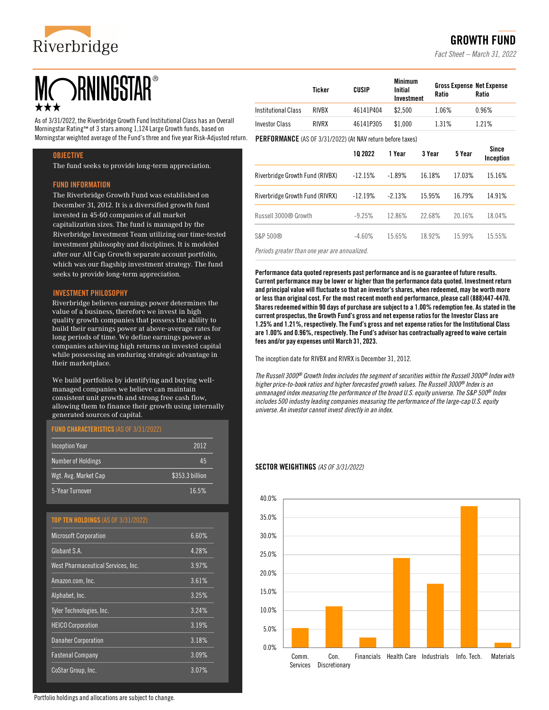

# **ORNINGSTAR®**

As of 3/31/2022, the Riverbridge Growth Fund Institutional Class has an Overall Morningstar Rating™ of 3 stars among 1,124 Large Growth funds, based on Morningstar weighted average of the Fund's three and five year Risk-Adjusted return.

#### **OBJECTIVE**

The fund seeks to provide long-term appreciation.

#### FUND INFORMATION

The Riverbridge Growth Fund was established on December 31, 2012. It is a diversified growth fund invested in 45-60 companies of all market capitalization sizes. The fund is managed by the Riverbridge Investment Team utilizing our time-tested investment philosophy and disciplines. It is modeled after our All Cap Growth separate account portfolio, which was our flagship investment strategy. The fund seeks to provide long-term appreciation.

#### INVESTMENT PHILOSOPHY

Riverbridge believes earnings power determines the value of a business, therefore we invest in high quality growth companies that possess the ability to build their earnings power at above-average rates for long periods of time. We define earnings power as companies achieving high returns on invested capital while possessing an enduring strategic advantage in their marketplace.

We build portfolios by identifying and buying wellmanaged companies we believe can maintain consistent unit growth and strong free cash flow, allowing them to finance their growth using internally generated sources of capital.

#### FUND CHARACTERISTICS (AS OF 3/31/2022)

| <b>Inception Year</b>     | 2012            |
|---------------------------|-----------------|
| <b>Number of Holdings</b> | 45              |
| Wgt. Avg. Market Cap      | \$353.3 billion |
| 5-Year Turnover           | 16.5%           |

### TOP TEN HOLDINGS (AS OF 3/31/2022)

| <b>Microsoft Corporation</b>       | 6.60% |
|------------------------------------|-------|
| Globant S.A.                       | 4.28% |
| West Pharmaceutical Services, Inc. | 3.97% |
| Amazon.com, Inc.                   | 3.61% |
| Alphabet, Inc.                     | 3.25% |
| <b>Tyler Technologies, Inc.</b>    | 3.24% |
| <b>HEICO Corporation</b>           | 3.19% |
| <b>Danaher Corporation</b>         | 3.18% |
| <b>Fastenal Company</b>            | 3.09% |
| CoStar Group, Inc.                 | 3.07% |
|                                    |       |

|                       | Ticker | CUSIP     | <b>Minimum</b><br>Initial<br>Investment | <b>Gross Expense Net Expense</b><br>Ratio | Ratio   |
|-----------------------|--------|-----------|-----------------------------------------|-------------------------------------------|---------|
| Institutional Class   | RIVRX  | 46141P404 | \$2.500                                 | 1.06%                                     | 0.96%   |
| <b>Investor Class</b> | RIVRX  | 46141P305 | \$1.000                                 | 1.31%                                     | 1 2 1 % |

PERFORMANCE (AS OF 3/31/2022) (At NAV return before taxes)

|                                 | 10 2022   | 1 Year   | 3 Year | 5 Year | <b>Since</b><br>Inception |
|---------------------------------|-----------|----------|--------|--------|---------------------------|
| Riverbridge Growth Fund (RIVBX) | $-12.15%$ | $-1.89%$ | 16.18% | 17.03% | 15.16%                    |
| Riverbridge Growth Fund (RIVRX) | $-12.19%$ | $-2.13%$ | 15 95% | 16.79% | 14.91%                    |
| Russell 3000® Growth            | $-9.25%$  | 1286%    | 22.68% | 20.16% | 18.04%                    |
| S&P 500®                        | $-4.60%$  | 1565%    | 18.92% | 15 99% | 15.55%                    |

*Periods greater than one year are annualized.*

Performance data quoted represents past performance and is no guarantee of future results. Current performance may be lower or higher than the performance data quoted. Investment return and principal value will fluctuate so that an investor's shares, when redeemed, may be worth more or less than original cost. For the most recent month end performance, please call (888)447-4470. Shares redeemed within 90 days of purchase are subject to a 1.00% redemption fee. As stated in the current prospectus, the Growth Fund's gross and net expense ratios for the Investor Class are 1.25% and 1.21%, respectively. The Fund's gross and net expense ratios for the Institutional Class are 1.00% and 0.96%, respectively. The Fund's advisor has contractually agreed to waive certain fees and/or pay expenses until March 31, 2023.

The inception date for RIVBX and RIVRX is December 31, 2012.

*The Russell 3000® Growth Index includes the segment of securities within the Russell 3000® Index with higher price-to-book ratios and higher forecasted growth values. The Russell 3000® Index is an unmanaged index measuring the performance of the broad U.S. equity universe. The S&P 500® Index includes 500 industry leading companies measuring the performance of the large-cap U.S. equity universe. An investor cannot invest directly in an index.* 

#### SECTOR WEIGHTINGS *(AS OF 3/31/2022)*



# GROWTH FUND

*Fact Sheet – March 31, 2022*